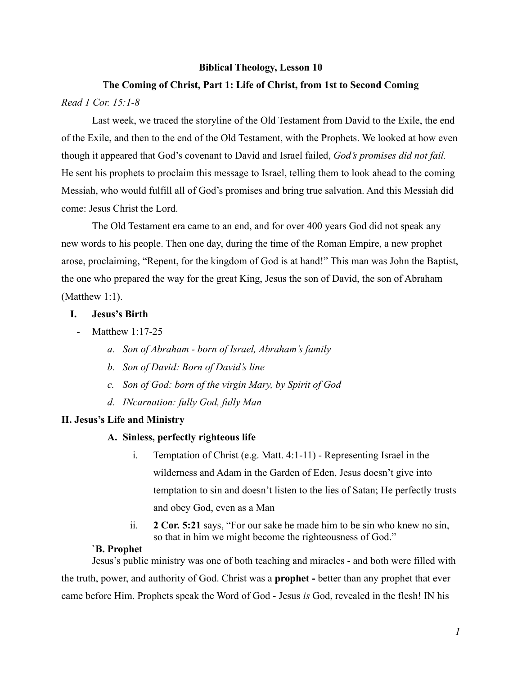### **Biblical Theology, Lesson 10**

# T**he Coming of Christ, Part 1: Life of Christ, from 1st to Second Coming** *Read 1 Cor. 15:1-8*

Last week, we traced the storyline of the Old Testament from David to the Exile, the end of the Exile, and then to the end of the Old Testament, with the Prophets. We looked at how even though it appeared that God's covenant to David and Israel failed, *God's promises did not fail.* He sent his prophets to proclaim this message to Israel, telling them to look ahead to the coming Messiah, who would fulfill all of God's promises and bring true salvation. And this Messiah did come: Jesus Christ the Lord.

The Old Testament era came to an end, and for over 400 years God did not speak any new words to his people. Then one day, during the time of the Roman Empire, a new prophet arose, proclaiming, "Repent, for the kingdom of God is at hand!" This man was John the Baptist, the one who prepared the way for the great King, Jesus the son of David, the son of Abraham (Matthew 1:1).

## **I. Jesus's Birth**

- Matthew 1:17-25
	- *a. Son of Abraham born of Israel, Abraham's family*
	- *b. Son of David: Born of David's line*
	- *c. Son of God: born of the virgin Mary, by Spirit of God*
	- *d. INcarnation: fully God, fully Man*

#### **II. Jesus's Life and Ministry**

### **A. Sinless, perfectly righteous life**

- i. Temptation of Christ (e.g. Matt. 4:1-11) Representing Israel in the wilderness and Adam in the Garden of Eden, Jesus doesn't give into temptation to sin and doesn't listen to the lies of Satan; He perfectly trusts and obey God, even as a Man
- ii. **2 Cor. 5:21** says, "For our sake he made him to be sin who knew no sin, so that in him we might become the righteousness of God."

## **`B. Prophet**

Jesus's public ministry was one of both teaching and miracles - and both were filled with the truth, power, and authority of God. Christ was a **prophet -** better than any prophet that ever came before Him. Prophets speak the Word of God - Jesus *is* God, revealed in the flesh! IN his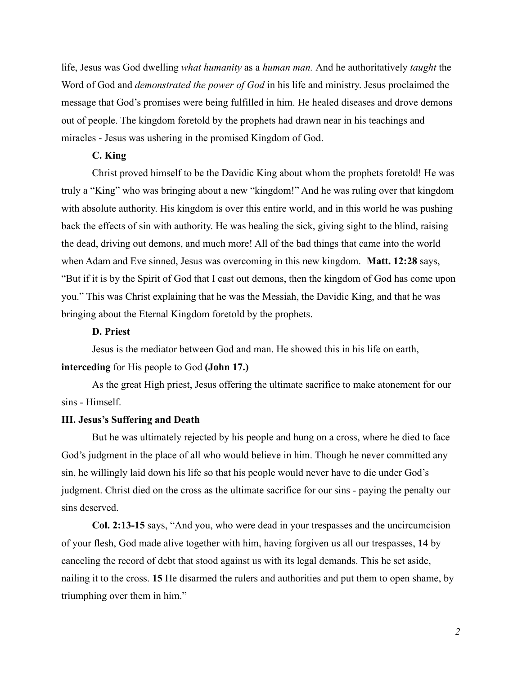life, Jesus was God dwelling *what humanity* as a *human man.* And he authoritatively *taught* the Word of God and *demonstrated the power of God* in his life and ministry. Jesus proclaimed the message that God's promises were being fulfilled in him. He healed diseases and drove demons out of people. The kingdom foretold by the prophets had drawn near in his teachings and miracles - Jesus was ushering in the promised Kingdom of God.

## **C. King**

Christ proved himself to be the Davidic King about whom the prophets foretold! He was truly a "King" who was bringing about a new "kingdom!" And he was ruling over that kingdom with absolute authority. His kingdom is over this entire world, and in this world he was pushing back the effects of sin with authority. He was healing the sick, giving sight to the blind, raising the dead, driving out demons, and much more! All of the bad things that came into the world when Adam and Eve sinned, Jesus was overcoming in this new kingdom. **Matt. 12:28** says, "But if it is by the Spirit of God that I cast out demons, then the kingdom of God has come upon you." This was Christ explaining that he was the Messiah, the Davidic King, and that he was bringing about the Eternal Kingdom foretold by the prophets.

### **D. Priest**

Jesus is the mediator between God and man. He showed this in his life on earth, **interceding** for His people to God **(John 17.)**

As the great High priest, Jesus offering the ultimate sacrifice to make atonement for our sins - Himself.

#### **III. Jesus's Suffering and Death**

But he was ultimately rejected by his people and hung on a cross, where he died to face God's judgment in the place of all who would believe in him. Though he never committed any sin, he willingly laid down his life so that his people would never have to die under God's judgment. Christ died on the cross as the ultimate sacrifice for our sins - paying the penalty our sins deserved.

**Col. 2:13-15** says, "And you, who were dead in your trespasses and the uncircumcision of your flesh, God made alive together with him, having forgiven us all our trespasses, **14** by canceling the record of debt that stood against us with its legal demands. This he set aside, nailing it to the cross. **15** He disarmed the rulers and authorities and put them to open shame, by triumphing over them in him."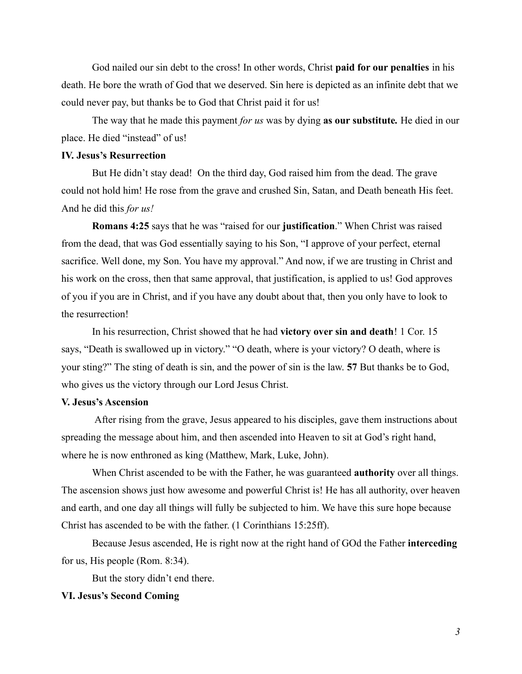God nailed our sin debt to the cross! In other words, Christ **paid for our penalties** in his death. He bore the wrath of God that we deserved. Sin here is depicted as an infinite debt that we could never pay, but thanks be to God that Christ paid it for us!

The way that he made this payment *for us* was by dying **as our substitute***.* He died in our place. He died "instead" of us!

## **IV. Jesus's Resurrection**

But He didn't stay dead! On the third day, God raised him from the dead. The grave could not hold him! He rose from the grave and crushed Sin, Satan, and Death beneath His feet. And he did this *for us!*

**Romans 4:25** says that he was "raised for our **justification**." When Christ was raised from the dead, that was God essentially saying to his Son, "I approve of your perfect, eternal sacrifice. Well done, my Son. You have my approval." And now, if we are trusting in Christ and his work on the cross, then that same approval, that justification, is applied to us! God approves of you if you are in Christ, and if you have any doubt about that, then you only have to look to the resurrection!

In his resurrection, Christ showed that he had **victory over sin and death**! 1 Cor. 15 says, "Death is swallowed up in victory." "O death, where is your victory? O death, where is your sting?" The sting of death is sin, and the power of sin is the law. **57** But thanks be to God, who gives us the victory through our Lord Jesus Christ.

#### **V. Jesus's Ascension**

After rising from the grave, Jesus appeared to his disciples, gave them instructions about spreading the message about him, and then ascended into Heaven to sit at God's right hand, where he is now enthroned as king (Matthew, Mark, Luke, John).

When Christ ascended to be with the Father, he was guaranteed **authority** over all things. The ascension shows just how awesome and powerful Christ is! He has all authority, over heaven and earth, and one day all things will fully be subjected to him. We have this sure hope because Christ has ascended to be with the father. (1 Corinthians 15:25ff).

Because Jesus ascended, He is right now at the right hand of GOd the Father **interceding** for us, His people (Rom. 8:34).

But the story didn't end there.

### **VI. Jesus's Second Coming**